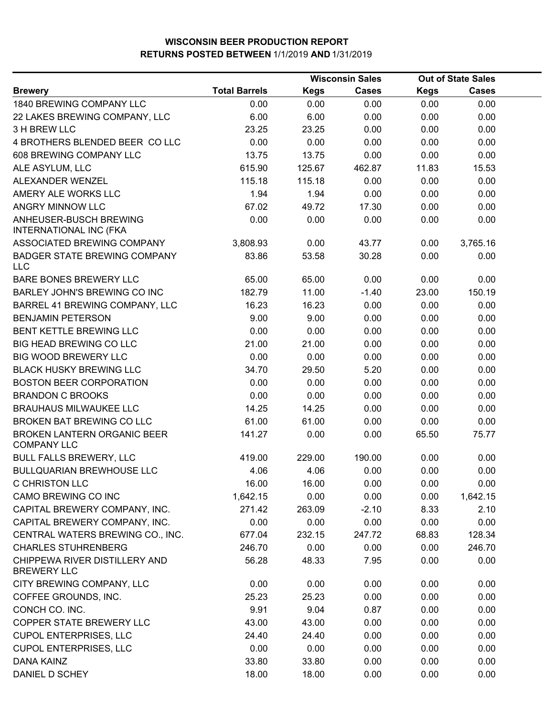|                                                     | <b>Wisconsin Sales</b> |             |              | <b>Out of State Sales</b> |              |  |
|-----------------------------------------------------|------------------------|-------------|--------------|---------------------------|--------------|--|
| <b>Brewery</b>                                      | <b>Total Barrels</b>   | <b>Kegs</b> | <b>Cases</b> | <b>Kegs</b>               | <b>Cases</b> |  |
| 1840 BREWING COMPANY LLC                            | 0.00                   | 0.00        | 0.00         | 0.00                      | 0.00         |  |
| 22 LAKES BREWING COMPANY, LLC                       | 6.00                   | 6.00        | 0.00         | 0.00                      | 0.00         |  |
| 3 H BREW LLC                                        | 23.25                  | 23.25       | 0.00         | 0.00                      | 0.00         |  |
| 4 BROTHERS BLENDED BEER CO LLC                      | 0.00                   | 0.00        | 0.00         | 0.00                      | 0.00         |  |
| 608 BREWING COMPANY LLC                             | 13.75                  | 13.75       | 0.00         | 0.00                      | 0.00         |  |
| ALE ASYLUM, LLC                                     | 615.90                 | 125.67      | 462.87       | 11.83                     | 15.53        |  |
| ALEXANDER WENZEL                                    | 115.18                 | 115.18      | 0.00         | 0.00                      | 0.00         |  |
| AMERY ALE WORKS LLC                                 | 1.94                   | 1.94        | 0.00         | 0.00                      | 0.00         |  |
| ANGRY MINNOW LLC                                    | 67.02                  | 49.72       | 17.30        | 0.00                      | 0.00         |  |
| ANHEUSER-BUSCH BREWING<br>INTERNATIONAL INC (FKA    | 0.00                   | 0.00        | 0.00         | 0.00                      | 0.00         |  |
| ASSOCIATED BREWING COMPANY                          | 3,808.93               | 0.00        | 43.77        | 0.00                      | 3,765.16     |  |
| <b>BADGER STATE BREWING COMPANY</b><br><b>LLC</b>   | 83.86                  | 53.58       | 30.28        | 0.00                      | 0.00         |  |
| BARE BONES BREWERY LLC                              | 65.00                  | 65.00       | 0.00         | 0.00                      | 0.00         |  |
| BARLEY JOHN'S BREWING CO INC                        | 182.79                 | 11.00       | $-1.40$      | 23.00                     | 150.19       |  |
| BARREL 41 BREWING COMPANY, LLC                      | 16.23                  | 16.23       | 0.00         | 0.00                      | 0.00         |  |
| <b>BENJAMIN PETERSON</b>                            | 9.00                   | 9.00        | 0.00         | 0.00                      | 0.00         |  |
| <b>BENT KETTLE BREWING LLC</b>                      | 0.00                   | 0.00        | 0.00         | 0.00                      | 0.00         |  |
| BIG HEAD BREWING CO LLC                             | 21.00                  | 21.00       | 0.00         | 0.00                      | 0.00         |  |
| <b>BIG WOOD BREWERY LLC</b>                         | 0.00                   | 0.00        | 0.00         | 0.00                      | 0.00         |  |
| <b>BLACK HUSKY BREWING LLC</b>                      | 34.70                  | 29.50       | 5.20         | 0.00                      | 0.00         |  |
| <b>BOSTON BEER CORPORATION</b>                      | 0.00                   | 0.00        | 0.00         | 0.00                      | 0.00         |  |
| <b>BRANDON C BROOKS</b>                             | 0.00                   | 0.00        | 0.00         | 0.00                      | 0.00         |  |
| <b>BRAUHAUS MILWAUKEE LLC</b>                       | 14.25                  | 14.25       | 0.00         | 0.00                      | 0.00         |  |
| BROKEN BAT BREWING CO LLC                           | 61.00                  | 61.00       | 0.00         | 0.00                      | 0.00         |  |
| BROKEN LANTERN ORGANIC BEER<br><b>COMPANY LLC</b>   | 141.27                 | 0.00        | 0.00         | 65.50                     | 75.77        |  |
| BULL FALLS BREWERY, LLC                             | 419.00                 | 229.00      | 190.00       | 0.00                      | 0.00         |  |
| <b>BULLQUARIAN BREWHOUSE LLC</b>                    | 4.06                   | 4.06        | 0.00         | 0.00                      | 0.00         |  |
| C CHRISTON LLC                                      | 16.00                  | 16.00       | 0.00         | 0.00                      | 0.00         |  |
| CAMO BREWING CO INC                                 | 1,642.15               | 0.00        | 0.00         | 0.00                      | 1,642.15     |  |
| CAPITAL BREWERY COMPANY, INC.                       | 271.42                 | 263.09      | $-2.10$      | 8.33                      | 2.10         |  |
| CAPITAL BREWERY COMPANY, INC.                       | 0.00                   | 0.00        | 0.00         | 0.00                      | 0.00         |  |
| CENTRAL WATERS BREWING CO., INC.                    | 677.04                 | 232.15      | 247.72       | 68.83                     | 128.34       |  |
| <b>CHARLES STUHRENBERG</b>                          | 246.70                 | 0.00        | 0.00         | 0.00                      | 246.70       |  |
| CHIPPEWA RIVER DISTILLERY AND<br><b>BREWERY LLC</b> | 56.28                  | 48.33       | 7.95         | 0.00                      | 0.00         |  |
| CITY BREWING COMPANY, LLC                           | 0.00                   | 0.00        | 0.00         | 0.00                      | 0.00         |  |
| COFFEE GROUNDS, INC.                                | 25.23                  | 25.23       | 0.00         | 0.00                      | 0.00         |  |
| CONCH CO. INC.                                      | 9.91                   | 9.04        | 0.87         | 0.00                      | 0.00         |  |
| COPPER STATE BREWERY LLC                            | 43.00                  | 43.00       | 0.00         | 0.00                      | 0.00         |  |
| <b>CUPOL ENTERPRISES, LLC</b>                       | 24.40                  | 24.40       | 0.00         | 0.00                      | 0.00         |  |
| <b>CUPOL ENTERPRISES, LLC</b>                       | 0.00                   | 0.00        | 0.00         | 0.00                      | 0.00         |  |
| <b>DANA KAINZ</b>                                   | 33.80                  | 33.80       | 0.00         | 0.00                      | 0.00         |  |
| DANIEL D SCHEY                                      | 18.00                  | 18.00       | 0.00         | 0.00                      | 0.00         |  |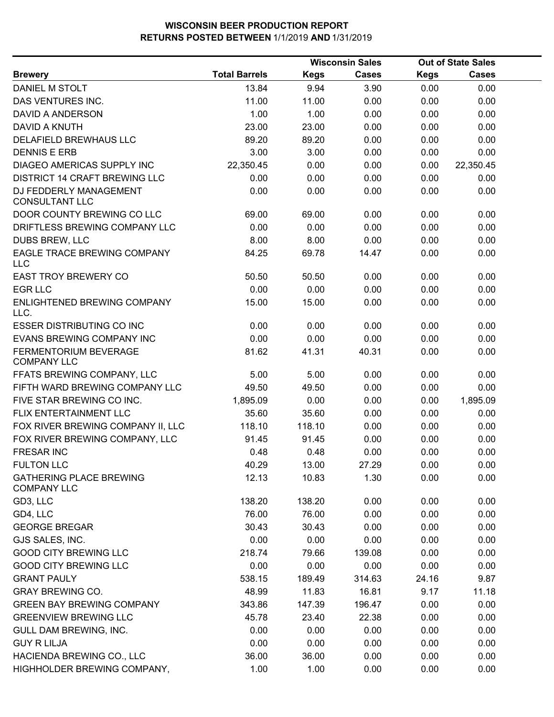|                                                      |                      |             | <b>Wisconsin Sales</b> |             | <b>Out of State Sales</b> |  |
|------------------------------------------------------|----------------------|-------------|------------------------|-------------|---------------------------|--|
| <b>Brewery</b>                                       | <b>Total Barrels</b> | <b>Kegs</b> | <b>Cases</b>           | <b>Kegs</b> | <b>Cases</b>              |  |
| DANIEL M STOLT                                       | 13.84                | 9.94        | 3.90                   | 0.00        | 0.00                      |  |
| DAS VENTURES INC.                                    | 11.00                | 11.00       | 0.00                   | 0.00        | 0.00                      |  |
| DAVID A ANDERSON                                     | 1.00                 | 1.00        | 0.00                   | 0.00        | 0.00                      |  |
| DAVID A KNUTH                                        | 23.00                | 23.00       | 0.00                   | 0.00        | 0.00                      |  |
| DELAFIELD BREWHAUS LLC                               | 89.20                | 89.20       | 0.00                   | 0.00        | 0.00                      |  |
| <b>DENNIS E ERB</b>                                  | 3.00                 | 3.00        | 0.00                   | 0.00        | 0.00                      |  |
| DIAGEO AMERICAS SUPPLY INC                           | 22,350.45            | 0.00        | 0.00                   | 0.00        | 22,350.45                 |  |
| DISTRICT 14 CRAFT BREWING LLC                        | 0.00                 | 0.00        | 0.00                   | 0.00        | 0.00                      |  |
| DJ FEDDERLY MANAGEMENT<br><b>CONSULTANT LLC</b>      | 0.00                 | 0.00        | 0.00                   | 0.00        | 0.00                      |  |
| DOOR COUNTY BREWING CO LLC                           | 69.00                | 69.00       | 0.00                   | 0.00        | 0.00                      |  |
| DRIFTLESS BREWING COMPANY LLC                        | 0.00                 | 0.00        | 0.00                   | 0.00        | 0.00                      |  |
| DUBS BREW, LLC                                       | 8.00                 | 8.00        | 0.00                   | 0.00        | 0.00                      |  |
| EAGLE TRACE BREWING COMPANY<br><b>LLC</b>            | 84.25                | 69.78       | 14.47                  | 0.00        | 0.00                      |  |
| <b>EAST TROY BREWERY CO</b>                          | 50.50                | 50.50       | 0.00                   | 0.00        | 0.00                      |  |
| <b>EGR LLC</b>                                       | 0.00                 | 0.00        | 0.00                   | 0.00        | 0.00                      |  |
| ENLIGHTENED BREWING COMPANY<br>LLC.                  | 15.00                | 15.00       | 0.00                   | 0.00        | 0.00                      |  |
| <b>ESSER DISTRIBUTING CO INC</b>                     | 0.00                 | 0.00        | 0.00                   | 0.00        | 0.00                      |  |
| EVANS BREWING COMPANY INC                            | 0.00                 | 0.00        | 0.00                   | 0.00        | 0.00                      |  |
| FERMENTORIUM BEVERAGE<br><b>COMPANY LLC</b>          | 81.62                | 41.31       | 40.31                  | 0.00        | 0.00                      |  |
| FFATS BREWING COMPANY, LLC                           | 5.00                 | 5.00        | 0.00                   | 0.00        | 0.00                      |  |
| FIFTH WARD BREWING COMPANY LLC                       | 49.50                | 49.50       | 0.00                   | 0.00        | 0.00                      |  |
| FIVE STAR BREWING CO INC.                            | 1,895.09             | 0.00        | 0.00                   | 0.00        | 1,895.09                  |  |
| FLIX ENTERTAINMENT LLC                               | 35.60                | 35.60       | 0.00                   | 0.00        | 0.00                      |  |
| FOX RIVER BREWING COMPANY II, LLC                    | 118.10               | 118.10      | 0.00                   | 0.00        | 0.00                      |  |
| FOX RIVER BREWING COMPANY, LLC                       | 91.45                | 91.45       | 0.00                   | 0.00        | 0.00                      |  |
| <b>FRESAR INC</b>                                    | 0.48                 | 0.48        | 0.00                   | 0.00        | 0.00                      |  |
| <b>FULTON LLC</b>                                    | 40.29                | 13.00       | 27.29                  | 0.00        | 0.00                      |  |
| <b>GATHERING PLACE BREWING</b><br><b>COMPANY LLC</b> | 12.13                | 10.83       | 1.30                   | 0.00        | 0.00                      |  |
| GD3, LLC                                             | 138.20               | 138.20      | 0.00                   | 0.00        | 0.00                      |  |
| GD4, LLC                                             | 76.00                | 76.00       | 0.00                   | 0.00        | 0.00                      |  |
| <b>GEORGE BREGAR</b>                                 | 30.43                | 30.43       | 0.00                   | 0.00        | 0.00                      |  |
| GJS SALES, INC.                                      | 0.00                 | 0.00        | 0.00                   | 0.00        | 0.00                      |  |
| <b>GOOD CITY BREWING LLC</b>                         | 218.74               | 79.66       | 139.08                 | 0.00        | 0.00                      |  |
| <b>GOOD CITY BREWING LLC</b>                         | 0.00                 | 0.00        | 0.00                   | 0.00        | 0.00                      |  |
| <b>GRANT PAULY</b>                                   | 538.15               | 189.49      | 314.63                 | 24.16       | 9.87                      |  |
| <b>GRAY BREWING CO.</b>                              | 48.99                | 11.83       | 16.81                  | 9.17        | 11.18                     |  |
| <b>GREEN BAY BREWING COMPANY</b>                     | 343.86               | 147.39      | 196.47                 | 0.00        | 0.00                      |  |
| <b>GREENVIEW BREWING LLC</b>                         | 45.78                | 23.40       | 22.38                  | 0.00        | 0.00                      |  |
| GULL DAM BREWING, INC.                               | 0.00                 | 0.00        | 0.00                   | 0.00        | 0.00                      |  |
| <b>GUY R LILJA</b>                                   | 0.00                 | 0.00        | 0.00                   | 0.00        | 0.00                      |  |
| HACIENDA BREWING CO., LLC                            | 36.00                | 36.00       | 0.00                   | 0.00        | 0.00                      |  |
| HIGHHOLDER BREWING COMPANY,                          | 1.00                 | 1.00        | 0.00                   | 0.00        | 0.00                      |  |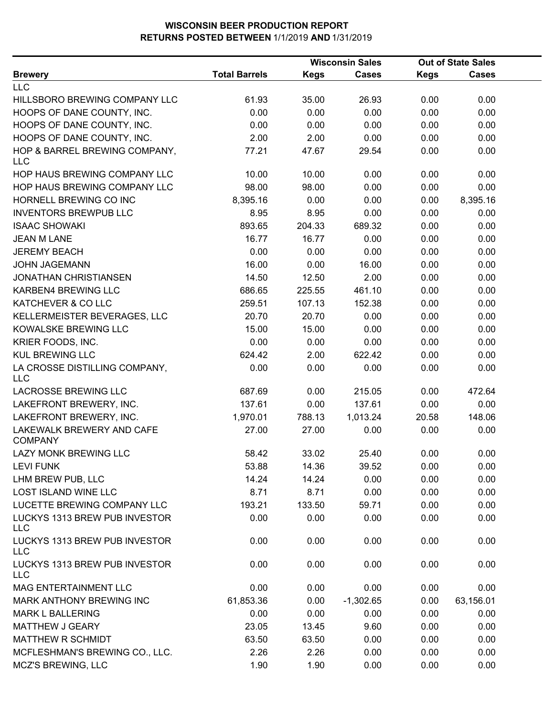| <b>Brewery</b>                              |                      | <b>Wisconsin Sales</b> |              | <b>Out of State Sales</b> |              |  |
|---------------------------------------------|----------------------|------------------------|--------------|---------------------------|--------------|--|
|                                             | <b>Total Barrels</b> | <b>Kegs</b>            | <b>Cases</b> | <b>Kegs</b>               | <b>Cases</b> |  |
| <b>LLC</b>                                  |                      |                        |              |                           |              |  |
| HILLSBORO BREWING COMPANY LLC               | 61.93                | 35.00                  | 26.93        | 0.00                      | 0.00         |  |
| HOOPS OF DANE COUNTY, INC.                  | 0.00                 | 0.00                   | 0.00         | 0.00                      | 0.00         |  |
| HOOPS OF DANE COUNTY, INC.                  | 0.00                 | 0.00                   | 0.00         | 0.00                      | 0.00         |  |
| HOOPS OF DANE COUNTY, INC.                  | 2.00                 | 2.00                   | 0.00         | 0.00                      | 0.00         |  |
| HOP & BARREL BREWING COMPANY,<br><b>LLC</b> | 77.21                | 47.67                  | 29.54        | 0.00                      | 0.00         |  |
| HOP HAUS BREWING COMPANY LLC                | 10.00                | 10.00                  | 0.00         | 0.00                      | 0.00         |  |
| HOP HAUS BREWING COMPANY LLC                | 98.00                | 98.00                  | 0.00         | 0.00                      | 0.00         |  |
| HORNELL BREWING CO INC                      | 8,395.16             | 0.00                   | 0.00         | 0.00                      | 8,395.16     |  |
| <b>INVENTORS BREWPUB LLC</b>                | 8.95                 | 8.95                   | 0.00         | 0.00                      | 0.00         |  |
| <b>ISAAC SHOWAKI</b>                        | 893.65               | 204.33                 | 689.32       | 0.00                      | 0.00         |  |
| <b>JEAN M LANE</b>                          | 16.77                | 16.77                  | 0.00         | 0.00                      | 0.00         |  |
| <b>JEREMY BEACH</b>                         | 0.00                 | 0.00                   | 0.00         | 0.00                      | 0.00         |  |
| <b>JOHN JAGEMANN</b>                        | 16.00                | 0.00                   | 16.00        | 0.00                      | 0.00         |  |
| <b>JONATHAN CHRISTIANSEN</b>                | 14.50                | 12.50                  | 2.00         | 0.00                      | 0.00         |  |
| <b>KARBEN4 BREWING LLC</b>                  | 686.65               | 225.55                 | 461.10       | 0.00                      | 0.00         |  |
| KATCHEVER & CO LLC                          | 259.51               | 107.13                 | 152.38       | 0.00                      | 0.00         |  |
| KELLERMEISTER BEVERAGES, LLC                | 20.70                | 20.70                  | 0.00         | 0.00                      | 0.00         |  |
| KOWALSKE BREWING LLC                        | 15.00                | 15.00                  | 0.00         | 0.00                      | 0.00         |  |
| KRIER FOODS, INC.                           | 0.00                 | 0.00                   | 0.00         | 0.00                      | 0.00         |  |
| <b>KUL BREWING LLC</b>                      | 624.42               | 2.00                   | 622.42       | 0.00                      | 0.00         |  |
| LA CROSSE DISTILLING COMPANY,<br><b>LLC</b> | 0.00                 | 0.00                   | 0.00         | 0.00                      | 0.00         |  |
| LACROSSE BREWING LLC                        | 687.69               | 0.00                   | 215.05       | 0.00                      | 472.64       |  |
| LAKEFRONT BREWERY, INC.                     | 137.61               | 0.00                   | 137.61       | 0.00                      | 0.00         |  |
| LAKEFRONT BREWERY, INC.                     | 1,970.01             | 788.13                 | 1,013.24     | 20.58                     | 148.06       |  |
| LAKEWALK BREWERY AND CAFE<br><b>COMPANY</b> | 27.00                | 27.00                  | 0.00         | 0.00                      | 0.00         |  |
| LAZY MONK BREWING LLC                       | 58.42                | 33.02                  | 25.40        | 0.00                      | 0.00         |  |
| <b>LEVI FUNK</b>                            | 53.88                | 14.36                  | 39.52        | 0.00                      | 0.00         |  |
| LHM BREW PUB, LLC                           | 14.24                | 14.24                  | 0.00         | 0.00                      | 0.00         |  |
| <b>LOST ISLAND WINE LLC</b>                 | 8.71                 | 8.71                   | 0.00         | 0.00                      | 0.00         |  |
| LUCETTE BREWING COMPANY LLC                 | 193.21               | 133.50                 | 59.71        | 0.00                      | 0.00         |  |
| LUCKYS 1313 BREW PUB INVESTOR<br><b>LLC</b> | 0.00                 | 0.00                   | 0.00         | 0.00                      | 0.00         |  |
| LUCKYS 1313 BREW PUB INVESTOR<br><b>LLC</b> | 0.00                 | 0.00                   | 0.00         | 0.00                      | 0.00         |  |
| LUCKYS 1313 BREW PUB INVESTOR<br><b>LLC</b> | 0.00                 | 0.00                   | 0.00         | 0.00                      | 0.00         |  |
| MAG ENTERTAINMENT LLC                       | 0.00                 | 0.00                   | 0.00         | 0.00                      | 0.00         |  |
| MARK ANTHONY BREWING INC                    | 61,853.36            | 0.00                   | $-1,302.65$  | 0.00                      | 63,156.01    |  |
| <b>MARK L BALLERING</b>                     | 0.00                 | 0.00                   | 0.00         | 0.00                      | 0.00         |  |
| MATTHEW J GEARY                             | 23.05                | 13.45                  | 9.60         | 0.00                      | 0.00         |  |
| MATTHEW R SCHMIDT                           | 63.50                | 63.50                  | 0.00         | 0.00                      | 0.00         |  |
| MCFLESHMAN'S BREWING CO., LLC.              | 2.26                 | 2.26                   | 0.00         | 0.00                      | 0.00         |  |
| MCZ'S BREWING, LLC                          | 1.90                 | 1.90                   | 0.00         | 0.00                      | 0.00         |  |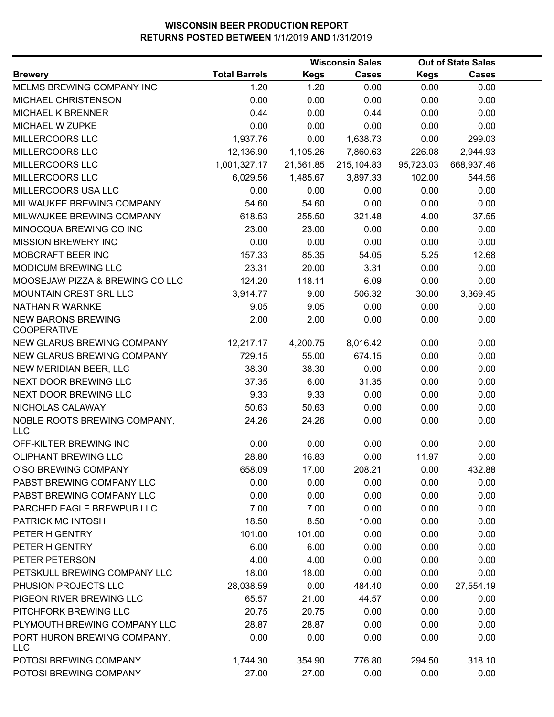|                                                 |                      | <b>Wisconsin Sales</b> |              |             | <b>Out of State Sales</b> |  |  |
|-------------------------------------------------|----------------------|------------------------|--------------|-------------|---------------------------|--|--|
| <b>Brewery</b>                                  | <b>Total Barrels</b> | <b>Kegs</b>            | <b>Cases</b> | <b>Kegs</b> | <b>Cases</b>              |  |  |
| MELMS BREWING COMPANY INC                       | 1.20                 | 1.20                   | 0.00         | 0.00        | 0.00                      |  |  |
| MICHAEL CHRISTENSON                             | 0.00                 | 0.00                   | 0.00         | 0.00        | 0.00                      |  |  |
| <b>MICHAEL K BRENNER</b>                        | 0.44                 | 0.00                   | 0.44         | 0.00        | 0.00                      |  |  |
| MICHAEL W ZUPKE                                 | 0.00                 | 0.00                   | 0.00         | 0.00        | 0.00                      |  |  |
| MILLERCOORS LLC                                 | 1,937.76             | 0.00                   | 1,638.73     | 0.00        | 299.03                    |  |  |
| MILLERCOORS LLC                                 | 12,136.90            | 1,105.26               | 7,860.63     | 226.08      | 2,944.93                  |  |  |
| MILLERCOORS LLC                                 | 1,001,327.17         | 21,561.85              | 215,104.83   | 95,723.03   | 668,937.46                |  |  |
| MILLERCOORS LLC                                 | 6,029.56             | 1,485.67               | 3,897.33     | 102.00      | 544.56                    |  |  |
| MILLERCOORS USA LLC                             | 0.00                 | 0.00                   | 0.00         | 0.00        | 0.00                      |  |  |
| MILWAUKEE BREWING COMPANY                       | 54.60                | 54.60                  | 0.00         | 0.00        | 0.00                      |  |  |
| MILWAUKEE BREWING COMPANY                       | 618.53               | 255.50                 | 321.48       | 4.00        | 37.55                     |  |  |
| MINOCQUA BREWING CO INC                         | 23.00                | 23.00                  | 0.00         | 0.00        | 0.00                      |  |  |
| MISSION BREWERY INC                             | 0.00                 | 0.00                   | 0.00         | 0.00        | 0.00                      |  |  |
| MOBCRAFT BEER INC                               | 157.33               | 85.35                  | 54.05        | 5.25        | 12.68                     |  |  |
| <b>MODICUM BREWING LLC</b>                      | 23.31                | 20.00                  | 3.31         | 0.00        | 0.00                      |  |  |
| MOOSEJAW PIZZA & BREWING CO LLC                 | 124.20               | 118.11                 | 6.09         | 0.00        | 0.00                      |  |  |
| MOUNTAIN CREST SRL LLC                          | 3,914.77             | 9.00                   | 506.32       | 30.00       | 3,369.45                  |  |  |
| NATHAN R WARNKE                                 | 9.05                 | 9.05                   | 0.00         | 0.00        | 0.00                      |  |  |
| <b>NEW BARONS BREWING</b><br><b>COOPERATIVE</b> | 2.00                 | 2.00                   | 0.00         | 0.00        | 0.00                      |  |  |
| NEW GLARUS BREWING COMPANY                      | 12,217.17            | 4,200.75               | 8,016.42     | 0.00        | 0.00                      |  |  |
| NEW GLARUS BREWING COMPANY                      | 729.15               | 55.00                  | 674.15       | 0.00        | 0.00                      |  |  |
| NEW MERIDIAN BEER, LLC                          | 38.30                | 38.30                  | 0.00         | 0.00        | 0.00                      |  |  |
| NEXT DOOR BREWING LLC                           | 37.35                | 6.00                   | 31.35        | 0.00        | 0.00                      |  |  |
| NEXT DOOR BREWING LLC                           | 9.33                 | 9.33                   | 0.00         | 0.00        | 0.00                      |  |  |
| NICHOLAS CALAWAY                                | 50.63                | 50.63                  | 0.00         | 0.00        | 0.00                      |  |  |
| NOBLE ROOTS BREWING COMPANY,<br><b>LLC</b>      | 24.26                | 24.26                  | 0.00         | 0.00        | 0.00                      |  |  |
| OFF-KILTER BREWING INC                          | 0.00                 | 0.00                   | 0.00         | 0.00        | 0.00                      |  |  |
| <b>OLIPHANT BREWING LLC</b>                     | 28.80                | 16.83                  | 0.00         | 11.97       | 0.00                      |  |  |
| O'SO BREWING COMPANY                            | 658.09               | 17.00                  | 208.21       | 0.00        | 432.88                    |  |  |
| PABST BREWING COMPANY LLC                       | 0.00                 | 0.00                   | 0.00         | 0.00        | 0.00                      |  |  |
| PABST BREWING COMPANY LLC                       | 0.00                 | 0.00                   | 0.00         | 0.00        | 0.00                      |  |  |
| PARCHED EAGLE BREWPUB LLC                       | 7.00                 | 7.00                   | 0.00         | 0.00        | 0.00                      |  |  |
| PATRICK MC INTOSH                               | 18.50                | 8.50                   | 10.00        | 0.00        | 0.00                      |  |  |
| PETER H GENTRY                                  | 101.00               | 101.00                 | 0.00         | 0.00        | 0.00                      |  |  |
| PETER H GENTRY                                  | 6.00                 | 6.00                   | 0.00         | 0.00        | 0.00                      |  |  |
| PETER PETERSON                                  | 4.00                 | 4.00                   | 0.00         | 0.00        | 0.00                      |  |  |
| PETSKULL BREWING COMPANY LLC                    | 18.00                | 18.00                  | 0.00         | 0.00        | 0.00                      |  |  |
| PHUSION PROJECTS LLC                            | 28,038.59            | 0.00                   | 484.40       | 0.00        | 27,554.19                 |  |  |
| PIGEON RIVER BREWING LLC                        | 65.57                | 21.00                  | 44.57        | 0.00        | 0.00                      |  |  |
| PITCHFORK BREWING LLC                           | 20.75                | 20.75                  | 0.00         | 0.00        | 0.00                      |  |  |
| PLYMOUTH BREWING COMPANY LLC                    | 28.87                | 28.87                  | 0.00         | 0.00        | 0.00                      |  |  |
| PORT HURON BREWING COMPANY,<br><b>LLC</b>       | 0.00                 | 0.00                   | 0.00         | 0.00        | 0.00                      |  |  |
| POTOSI BREWING COMPANY                          | 1,744.30             | 354.90                 | 776.80       | 294.50      | 318.10                    |  |  |
| POTOSI BREWING COMPANY                          | 27.00                | 27.00                  | 0.00         | 0.00        | 0.00                      |  |  |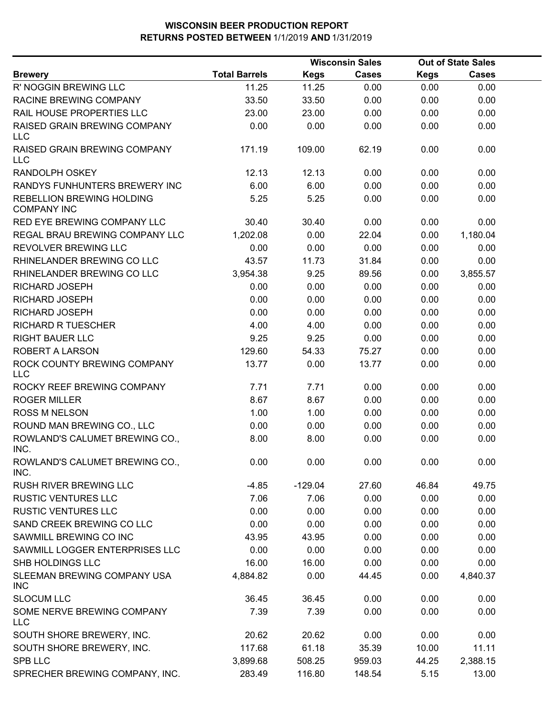|                                                 | <b>Wisconsin Sales</b> |             |        |             | <b>Out of State Sales</b> |  |
|-------------------------------------------------|------------------------|-------------|--------|-------------|---------------------------|--|
| <b>Brewery</b>                                  | <b>Total Barrels</b>   | <b>Kegs</b> | Cases  | <b>Kegs</b> | <b>Cases</b>              |  |
| R' NOGGIN BREWING LLC                           | 11.25                  | 11.25       | 0.00   | 0.00        | 0.00                      |  |
| RACINE BREWING COMPANY                          | 33.50                  | 33.50       | 0.00   | 0.00        | 0.00                      |  |
| RAIL HOUSE PROPERTIES LLC                       | 23.00                  | 23.00       | 0.00   | 0.00        | 0.00                      |  |
| RAISED GRAIN BREWING COMPANY<br><b>LLC</b>      | 0.00                   | 0.00        | 0.00   | 0.00        | 0.00                      |  |
| RAISED GRAIN BREWING COMPANY<br>LLC             | 171.19                 | 109.00      | 62.19  | 0.00        | 0.00                      |  |
| <b>RANDOLPH OSKEY</b>                           | 12.13                  | 12.13       | 0.00   | 0.00        | 0.00                      |  |
| RANDYS FUNHUNTERS BREWERY INC                   | 6.00                   | 6.00        | 0.00   | 0.00        | 0.00                      |  |
| REBELLION BREWING HOLDING<br><b>COMPANY INC</b> | 5.25                   | 5.25        | 0.00   | 0.00        | 0.00                      |  |
| RED EYE BREWING COMPANY LLC                     | 30.40                  | 30.40       | 0.00   | 0.00        | 0.00                      |  |
| REGAL BRAU BREWING COMPANY LLC                  | 1,202.08               | 0.00        | 22.04  | 0.00        | 1,180.04                  |  |
| REVOLVER BREWING LLC                            | 0.00                   | 0.00        | 0.00   | 0.00        | 0.00                      |  |
| RHINELANDER BREWING CO LLC                      | 43.57                  | 11.73       | 31.84  | 0.00        | 0.00                      |  |
| RHINELANDER BREWING CO LLC                      | 3,954.38               | 9.25        | 89.56  | 0.00        | 3,855.57                  |  |
| RICHARD JOSEPH                                  | 0.00                   | 0.00        | 0.00   | 0.00        | 0.00                      |  |
| RICHARD JOSEPH                                  | 0.00                   | 0.00        | 0.00   | 0.00        | 0.00                      |  |
| RICHARD JOSEPH                                  | 0.00                   | 0.00        | 0.00   | 0.00        | 0.00                      |  |
| <b>RICHARD R TUESCHER</b>                       | 4.00                   | 4.00        | 0.00   | 0.00        | 0.00                      |  |
| <b>RIGHT BAUER LLC</b>                          | 9.25                   | 9.25        | 0.00   | 0.00        | 0.00                      |  |
| <b>ROBERT A LARSON</b>                          | 129.60                 | 54.33       | 75.27  | 0.00        | 0.00                      |  |
| ROCK COUNTY BREWING COMPANY<br>LLC              | 13.77                  | 0.00        | 13.77  | 0.00        | 0.00                      |  |
| ROCKY REEF BREWING COMPANY                      | 7.71                   | 7.71        | 0.00   | 0.00        | 0.00                      |  |
| <b>ROGER MILLER</b>                             | 8.67                   | 8.67        | 0.00   | 0.00        | 0.00                      |  |
| <b>ROSS M NELSON</b>                            | 1.00                   | 1.00        | 0.00   | 0.00        | 0.00                      |  |
| ROUND MAN BREWING CO., LLC                      | 0.00                   | 0.00        | 0.00   | 0.00        | 0.00                      |  |
| ROWLAND'S CALUMET BREWING CO.,<br>INC.          | 8.00                   | 8.00        | 0.00   | 0.00        | 0.00                      |  |
| ROWLAND'S CALUMET BREWING CO.,<br>INC.          | 0.00                   | 0.00        | 0.00   | 0.00        | 0.00                      |  |
| <b>RUSH RIVER BREWING LLC</b>                   | $-4.85$                | $-129.04$   | 27.60  | 46.84       | 49.75                     |  |
| <b>RUSTIC VENTURES LLC</b>                      | 7.06                   | 7.06        | 0.00   | 0.00        | 0.00                      |  |
| <b>RUSTIC VENTURES LLC</b>                      | 0.00                   | 0.00        | 0.00   | 0.00        | 0.00                      |  |
| SAND CREEK BREWING CO LLC                       | 0.00                   | 0.00        | 0.00   | 0.00        | 0.00                      |  |
| SAWMILL BREWING CO INC                          | 43.95                  | 43.95       | 0.00   | 0.00        | 0.00                      |  |
| SAWMILL LOGGER ENTERPRISES LLC                  | 0.00                   | 0.00        | 0.00   | 0.00        | 0.00                      |  |
| SHB HOLDINGS LLC                                | 16.00                  | 16.00       | 0.00   | 0.00        | 0.00                      |  |
| SLEEMAN BREWING COMPANY USA<br><b>INC</b>       | 4,884.82               | 0.00        | 44.45  | 0.00        | 4,840.37                  |  |
| <b>SLOCUM LLC</b>                               | 36.45                  | 36.45       | 0.00   | 0.00        | 0.00                      |  |
| SOME NERVE BREWING COMPANY<br><b>LLC</b>        | 7.39                   | 7.39        | 0.00   | 0.00        | 0.00                      |  |
| SOUTH SHORE BREWERY, INC.                       | 20.62                  | 20.62       | 0.00   | 0.00        | 0.00                      |  |
| SOUTH SHORE BREWERY, INC.                       | 117.68                 | 61.18       | 35.39  | 10.00       | 11.11                     |  |
| <b>SPB LLC</b>                                  | 3,899.68               | 508.25      | 959.03 | 44.25       | 2,388.15                  |  |
| SPRECHER BREWING COMPANY, INC.                  | 283.49                 | 116.80      | 148.54 | 5.15        | 13.00                     |  |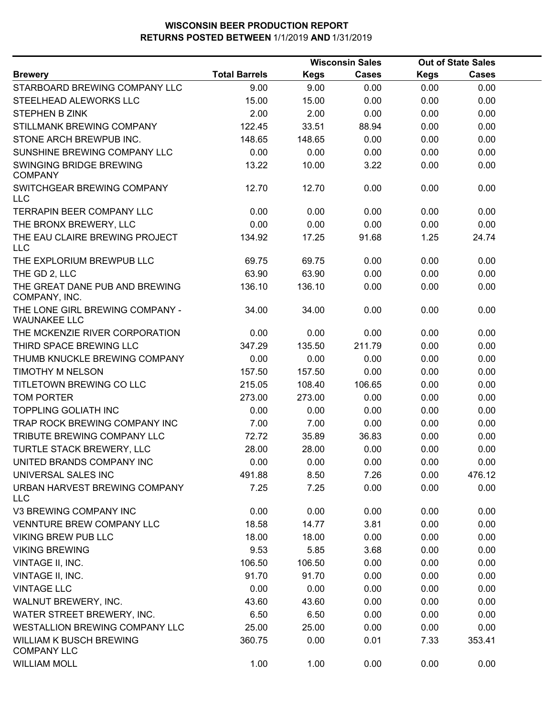|                                                        |                      |             | <b>Wisconsin Sales</b> |             | <b>Out of State Sales</b> |  |
|--------------------------------------------------------|----------------------|-------------|------------------------|-------------|---------------------------|--|
| <b>Brewery</b>                                         | <b>Total Barrels</b> | <b>Kegs</b> | <b>Cases</b>           | <b>Kegs</b> | <b>Cases</b>              |  |
| STARBOARD BREWING COMPANY LLC                          | 9.00                 | 9.00        | 0.00                   | 0.00        | 0.00                      |  |
| STEELHEAD ALEWORKS LLC                                 | 15.00                | 15.00       | 0.00                   | 0.00        | 0.00                      |  |
| STEPHEN B ZINK                                         | 2.00                 | 2.00        | 0.00                   | 0.00        | 0.00                      |  |
| STILLMANK BREWING COMPANY                              | 122.45               | 33.51       | 88.94                  | 0.00        | 0.00                      |  |
| STONE ARCH BREWPUB INC.                                | 148.65               | 148.65      | 0.00                   | 0.00        | 0.00                      |  |
| SUNSHINE BREWING COMPANY LLC                           | 0.00                 | 0.00        | 0.00                   | 0.00        | 0.00                      |  |
| SWINGING BRIDGE BREWING<br><b>COMPANY</b>              | 13.22                | 10.00       | 3.22                   | 0.00        | 0.00                      |  |
| SWITCHGEAR BREWING COMPANY<br><b>LLC</b>               | 12.70                | 12.70       | 0.00                   | 0.00        | 0.00                      |  |
| <b>TERRAPIN BEER COMPANY LLC</b>                       | 0.00                 | 0.00        | 0.00                   | 0.00        | 0.00                      |  |
| THE BRONX BREWERY, LLC                                 | 0.00                 | 0.00        | 0.00                   | 0.00        | 0.00                      |  |
| THE EAU CLAIRE BREWING PROJECT<br><b>LLC</b>           | 134.92               | 17.25       | 91.68                  | 1.25        | 24.74                     |  |
| THE EXPLORIUM BREWPUB LLC                              | 69.75                | 69.75       | 0.00                   | 0.00        | 0.00                      |  |
| THE GD 2, LLC                                          | 63.90                | 63.90       | 0.00                   | 0.00        | 0.00                      |  |
| THE GREAT DANE PUB AND BREWING<br>COMPANY, INC.        | 136.10               | 136.10      | 0.00                   | 0.00        | 0.00                      |  |
| THE LONE GIRL BREWING COMPANY -<br><b>WAUNAKEE LLC</b> | 34.00                | 34.00       | 0.00                   | 0.00        | 0.00                      |  |
| THE MCKENZIE RIVER CORPORATION                         | 0.00                 | 0.00        | 0.00                   | 0.00        | 0.00                      |  |
| THIRD SPACE BREWING LLC                                | 347.29               | 135.50      | 211.79                 | 0.00        | 0.00                      |  |
| THUMB KNUCKLE BREWING COMPANY                          | 0.00                 | 0.00        | 0.00                   | 0.00        | 0.00                      |  |
| <b>TIMOTHY M NELSON</b>                                | 157.50               | 157.50      | 0.00                   | 0.00        | 0.00                      |  |
| TITLETOWN BREWING CO LLC                               | 215.05               | 108.40      | 106.65                 | 0.00        | 0.00                      |  |
| <b>TOM PORTER</b>                                      | 273.00               | 273.00      | 0.00                   | 0.00        | 0.00                      |  |
| <b>TOPPLING GOLIATH INC</b>                            | 0.00                 | 0.00        | 0.00                   | 0.00        | 0.00                      |  |
| TRAP ROCK BREWING COMPANY INC                          | 7.00                 | 7.00        | 0.00                   | 0.00        | 0.00                      |  |
| TRIBUTE BREWING COMPANY LLC                            | 72.72                | 35.89       | 36.83                  | 0.00        | 0.00                      |  |
| TURTLE STACK BREWERY, LLC                              | 28.00                | 28.00       | 0.00                   | 0.00        | 0.00                      |  |
| UNITED BRANDS COMPANY INC                              | 0.00                 | 0.00        | 0.00                   | 0.00        | 0.00                      |  |
| UNIVERSAL SALES INC                                    | 491.88               | 8.50        | 7.26                   | 0.00        | 476.12                    |  |
| URBAN HARVEST BREWING COMPANY<br><b>LLC</b>            | 7.25                 | 7.25        | 0.00                   | 0.00        | 0.00                      |  |
| V3 BREWING COMPANY INC                                 | 0.00                 | 0.00        | 0.00                   | 0.00        | 0.00                      |  |
| <b>VENNTURE BREW COMPANY LLC</b>                       | 18.58                | 14.77       | 3.81                   | 0.00        | 0.00                      |  |
| <b>VIKING BREW PUB LLC</b>                             | 18.00                | 18.00       | 0.00                   | 0.00        | 0.00                      |  |
| <b>VIKING BREWING</b>                                  | 9.53                 | 5.85        | 3.68                   | 0.00        | 0.00                      |  |
| VINTAGE II, INC.                                       | 106.50               | 106.50      | 0.00                   | 0.00        | 0.00                      |  |
| VINTAGE II, INC.                                       | 91.70                | 91.70       | 0.00                   | 0.00        | 0.00                      |  |
| <b>VINTAGE LLC</b>                                     | 0.00                 | 0.00        | 0.00                   | 0.00        | 0.00                      |  |
| WALNUT BREWERY, INC.                                   | 43.60                | 43.60       | 0.00                   | 0.00        | 0.00                      |  |
| WATER STREET BREWERY, INC.                             | 6.50                 | 6.50        | 0.00                   | 0.00        | 0.00                      |  |
| WESTALLION BREWING COMPANY LLC                         | 25.00                | 25.00       | 0.00                   | 0.00        | 0.00                      |  |
| <b>WILLIAM K BUSCH BREWING</b><br><b>COMPANY LLC</b>   | 360.75               | 0.00        | 0.01                   | 7.33        | 353.41                    |  |
| <b>WILLIAM MOLL</b>                                    | 1.00                 | 1.00        | 0.00                   | 0.00        | 0.00                      |  |